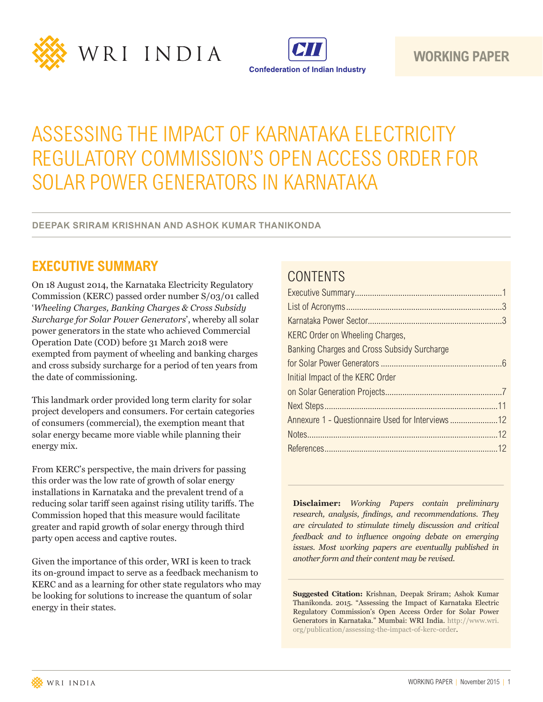



# ASSESSING THE IMPACT OF KARNATAKA ELECTRICITY REGULATORY COMMISSION'S OPEN ACCESS ORDER FOR SOLAR POWER GENERATORS IN KARNATAKA

**DEEPAK SRIRAM KRISHNAN AND ASHOK KUMAR THANIKONDA**

### **EXECUTIVE SUMMARY**

On 18 August 2014, the Karnataka Electricity Regulatory Commission (KERC) passed order number S/03/01 called '*Wheeling Charges, Banking Charges & Cross Subsidy Surcharge for Solar Power Generators*', whereby all solar power generators in the state who achieved Commercial Operation Date (COD) before 31 March 2018 were exempted from payment of wheeling and banking charges and cross subsidy surcharge for a period of ten years from the date of commissioning.

This landmark order provided long term clarity for solar project developers and consumers. For certain categories of consumers (commercial), the exemption meant that solar energy became more viable while planning their energy mix.

From KERC's perspective, the main drivers for passing this order was the low rate of growth of solar energy installations in Karnataka and the prevalent trend of a reducing solar tariff seen against rising utility tariffs. The Commission hoped that this measure would facilitate greater and rapid growth of solar energy through third party open access and captive routes.

Given the importance of this order, WRI is keen to track its on-ground impact to serve as a feedback mechanism to KERC and as a learning for other state regulators who may be looking for solutions to increase the quantum of solar energy in their states.

# **CONTENTS**

| <b>KERC Order on Wheeling Charges,</b>      |  |
|---------------------------------------------|--|
| Banking Charges and Cross Subsidy Surcharge |  |
|                                             |  |
| Initial Impact of the KERC Order            |  |
|                                             |  |
|                                             |  |
|                                             |  |
|                                             |  |
|                                             |  |
|                                             |  |

**Disclaimer:** *Working Papers contain preliminary research, analysis, findings, and recommendations. They are circulated to stimulate timely discussion and critical feedback and to influence ongoing debate on emerging issues. Most working papers are eventually published in another form and their content may be revised.*

**Suggested Citation:** Krishnan, Deepak Sriram; Ashok Kumar Thanikonda. 2015. "Assessing the Impact of Karnataka Electric Regulatory Commission's Open Access Order for Solar Power Generators in Karnataka." Mumbai: WRI India. http://www.wri. org/publication/assessing-the-impact-of-kerc-order.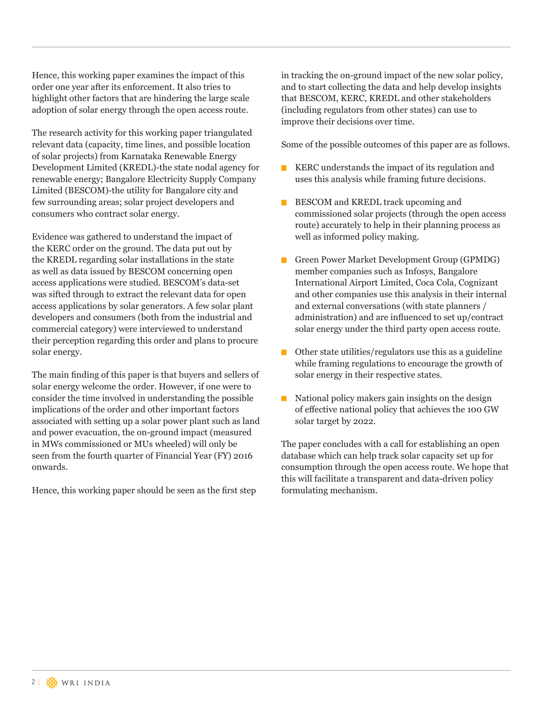Hence, this working paper examines the impact of this order one year after its enforcement. It also tries to highlight other factors that are hindering the large scale adoption of solar energy through the open access route.

The research activity for this working paper triangulated relevant data (capacity, time lines, and possible location of solar projects) from Karnataka Renewable Energy Development Limited (KREDL)-the state nodal agency for renewable energy; Bangalore Electricity Supply Company Limited (BESCOM)-the utility for Bangalore city and few surrounding areas; solar project developers and consumers who contract solar energy.

Evidence was gathered to understand the impact of the KERC order on the ground. The data put out by the KREDL regarding solar installations in the state as well as data issued by BESCOM concerning open access applications were studied. BESCOM's data-set was sifted through to extract the relevant data for open access applications by solar generators. A few solar plant developers and consumers (both from the industrial and commercial category) were interviewed to understand their perception regarding this order and plans to procure solar energy.

The main finding of this paper is that buyers and sellers of solar energy welcome the order. However, if one were to consider the time involved in understanding the possible implications of the order and other important factors associated with setting up a solar power plant such as land and power evacuation, the on-ground impact (measured in MWs commissioned or MUs wheeled) will only be seen from the fourth quarter of Financial Year (FY) 2016 onwards.

Hence, this working paper should be seen as the first step

in tracking the on-ground impact of the new solar policy, and to start collecting the data and help develop insights that BESCOM, KERC, KREDL and other stakeholders (including regulators from other states) can use to improve their decisions over time.

Some of the possible outcomes of this paper are as follows.

- KERC understands the impact of its regulation and  $\mathcal{L}^{\mathcal{A}}$ uses this analysis while framing future decisions.
- BESCOM and KREDL track upcoming and  $\mathcal{L}^{\mathcal{A}}$ commissioned solar projects (through the open access route) accurately to help in their planning process as well as informed policy making.
- Green Power Market Development Group (GPMDG) member companies such as Infosys, Bangalore International Airport Limited, Coca Cola, Cognizant and other companies use this analysis in their internal and external conversations (with state planners / administration) and are influenced to set up/contract solar energy under the third party open access route.
- Other state utilities/regulators use this as a guideline  $\mathcal{L}_{\mathcal{A}}$ while framing regulations to encourage the growth of solar energy in their respective states.
- $\blacksquare$  National policy makers gain insights on the design of effective national policy that achieves the 100 GW solar target by 2022.

The paper concludes with a call for establishing an open database which can help track solar capacity set up for consumption through the open access route. We hope that this will facilitate a transparent and data-driven policy formulating mechanism.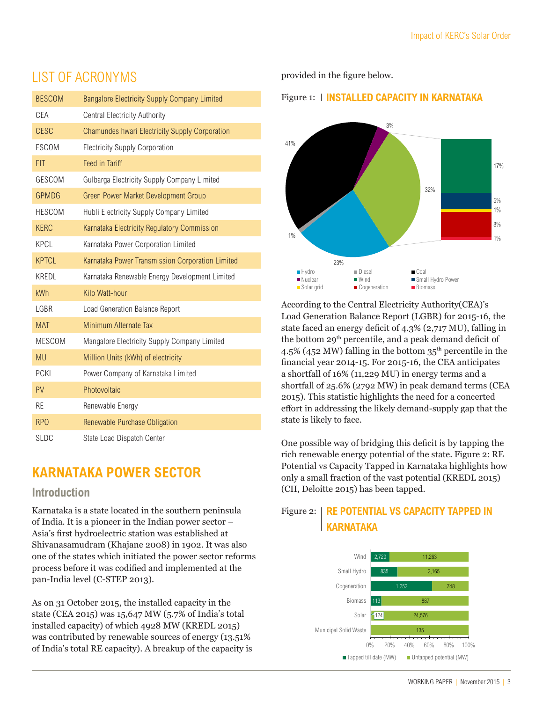# LIST OF ACRONYMS

| <b>BESCOM</b>   | <b>Bangalore Electricity Supply Company Limited</b> |
|-----------------|-----------------------------------------------------|
| <b>CEA</b>      | <b>Central Electricity Authority</b>                |
| <b>CESC</b>     | Chamundes hwari Electricity Supply Corporation      |
| ESCOM           | <b>Electricity Supply Corporation</b>               |
| <b>FIT</b>      | <b>Feed in Tariff</b>                               |
| GESCOM          | Gulbarga Electricity Supply Company Limited         |
| <b>GPMDG</b>    | <b>Green Power Market Development Group</b>         |
| <b>HESCOM</b>   | Hubli Electricity Supply Company Limited            |
| <b>KERC</b>     | Karnataka Electricity Regulatory Commission         |
| <b>KPCL</b>     | Karnataka Power Corporation Limited                 |
| <b>KPTCL</b>    | Karnataka Power Transmission Corporation Limited    |
| <b>KREDL</b>    | Karnataka Renewable Energy Development Limited      |
| kWh             | Kilo Watt-hour                                      |
| LGBR            | Load Generation Balance Report                      |
| <b>MAT</b>      | Minimum Alternate Tax                               |
| <b>MESCOM</b>   | Mangalore Electricity Supply Company Limited        |
| <b>MU</b>       | Million Units (kWh) of electricity                  |
| <b>PCKL</b>     | Power Company of Karnataka Limited                  |
| <b>PV</b>       | Photovoltaic                                        |
| RE              | Renewable Energy                                    |
| RP <sub>0</sub> | Renewable Purchase Obligation                       |
| <b>SLDC</b>     | State Load Dispatch Center                          |

# **KARNATAKA POWER SECTOR**

### **Introduction**

Karnataka is a state located in the southern peninsula of India. It is a pioneer in the Indian power sector – Asia's first hydroelectric station was established at Shivanasamudram (Khajane 2008) in 1902. It was also one of the states which initiated the power sector reforms process before it was codified and implemented at the pan-India level (C-STEP 2013).

As on 31 October 2015, the installed capacity in the state (CEA 2015) was 15,647 MW (5.7% of India's total installed capacity) of which 4928 MW (KREDL 2015) was contributed by renewable sources of energy (13.51% of India's total RE capacity). A breakup of the capacity is provided in the figure below.

#### Figure 1: **INSTALLED CAPACITY IN KARNATAKA**



According to the Central Electricity Authority(CEA)'s Load Generation Balance Report (LGBR) for 2015-16, the state faced an energy deficit of 4.3% (2,717 MU), falling in the bottom 29th percentile, and a peak demand deficit of 4.5% (452 MW) falling in the bottom  $35<sup>th</sup>$  percentile in the financial year 2014-15. For 2015-16, the CEA anticipates a shortfall of 16% (11,229 MU) in energy terms and a shortfall of 25.6% (2792 MW) in peak demand terms (CEA 2015). This statistic highlights the need for a concerted effort in addressing the likely demand-supply gap that the state is likely to face.

One possible way of bridging this deficit is by tapping the rich renewable energy potential of the state. Figure 2: RE Potential vs Capacity Tapped in Karnataka highlights how only a small fraction of the vast potential (KREDL 2015) (CII, Deloitte 2015) has been tapped.

### Figure 2: **RE POTENTIAL VS CAPACITY TAPPED IN KARNATAKA**

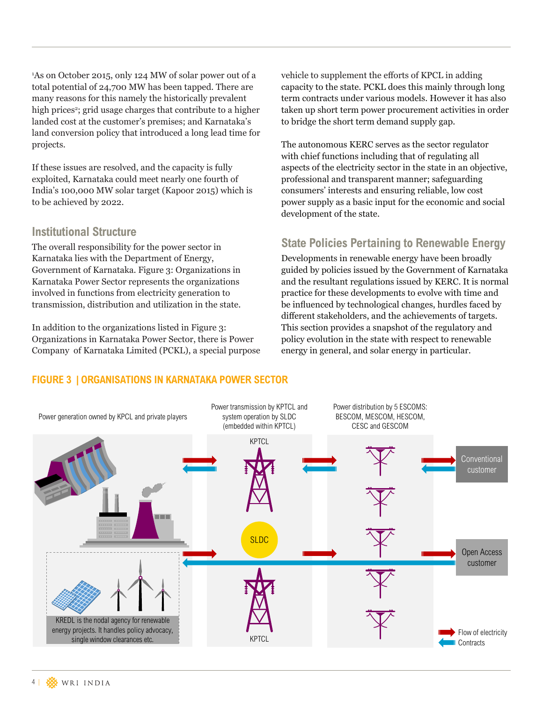1 As on October 2015, only 124 MW of solar power out of a total potential of 24,700 MW has been tapped. There are many reasons for this namely the historically prevalent high prices<sup>2</sup>; grid usage charges that contribute to a higher landed cost at the customer's premises; and Karnataka's land conversion policy that introduced a long lead time for projects.

If these issues are resolved, and the capacity is fully exploited, Karnataka could meet nearly one fourth of India's 100,000 MW solar target (Kapoor 2015) which is to be achieved by 2022.

#### **Institutional Structure**

The overall responsibility for the power sector in Karnataka lies with the Department of Energy, Government of Karnataka. Figure 3: Organizations in Karnataka Power Sector represents the organizations involved in functions from electricity generation to transmission, distribution and utilization in the state.

In addition to the organizations listed in Figure 3: Organizations in Karnataka Power Sector, there is Power Company of Karnataka Limited (PCKL), a special purpose vehicle to supplement the efforts of KPCL in adding capacity to the state. PCKL does this mainly through long term contracts under various models. However it has also taken up short term power procurement activities in order to bridge the short term demand supply gap.

The autonomous KERC serves as the sector regulator with chief functions including that of regulating all aspects of the electricity sector in the state in an objective, professional and transparent manner; safeguarding consumers' interests and ensuring reliable, low cost power supply as a basic input for the economic and social development of the state.

### **State Policies Pertaining to Renewable Energy**

Developments in renewable energy have been broadly guided by policies issued by the Government of Karnataka and the resultant regulations issued by KERC. It is normal practice for these developments to evolve with time and be influenced by technological changes, hurdles faced by different stakeholders, and the achievements of targets. This section provides a snapshot of the regulatory and policy evolution in the state with respect to renewable energy in general, and solar energy in particular.

#### **FIGURE 3 | ORGANISATIONS IN KARNATAKA POWER SECTOR**

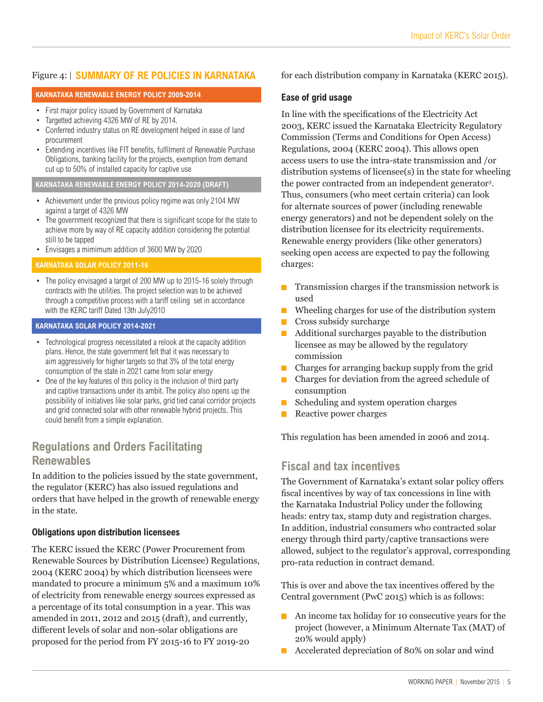#### Figure 4: **SUMMARY OF RE POLICIES IN KARNATAKA**

#### **KARNATAKA RENEWABLE ENERGY POLICY 2009-2014**

- First major policy issued by Government of Karnataka
- Targetted achieving 4326 MW of RE by 2014.
- Conferred industry status on RE development helped in ease of land procurement
- Extending incentives like FIT benefits, fulfilment of Renewable Purchase Obligations, banking facility for the projects, exemption from demand cut up to 50% of installed capacity for captive use

**KARNATAKA RENEWABLE ENERGY POLICY 2014-2020 (DRAFT)**

- Achievement under the previous policy regime was only 2104 MW against a target of 4326 MW
- The government recognized that there is significant scope for the state to achieve more by way of RE capacity addition considering the potential still to be tapped
- Envisages a mimimum addition of 3600 MW by 2020

#### **KARNATAKA SOLAR POLICY 2011-16**

• The policy envisaged a target of 200 MW up to 2015-16 solely through contracts with the utilities. The project selection was to be achieved through a competitive process with a tariff ceiling set in accordance with the KERC tariff Dated 13th July2010

#### **KARNATAKA SOLAR POLICY 2014-2021**

- Technological progress necessitated a relook at the capacity addition plans. Hence, the state government felt that it was necessary to aim aggressively for higher targets so that 3% of the total energy consumption of the state in 2021 came from solar energy
- One of the key features of this policy is the inclusion of third party and captive transactions under its ambit. The policy also opens up the possibility of initiatives like solar parks, grid tied canal corridor projects and grid connected solar with other renewable hybrid projects. This could benefit from a simple explanation.

### **Regulations and Orders Facilitating Renewables**

In addition to the policies issued by the state government, the regulator (KERC) has also issued regulations and orders that have helped in the growth of renewable energy in the state.

#### **Obligations upon distribution licensees**

The KERC issued the KERC (Power Procurement from Renewable Sources by Distribution Licensee) Regulations, 2004 (KERC 2004) by which distribution licensees were mandated to procure a minimum 5% and a maximum 10% of electricity from renewable energy sources expressed as a percentage of its total consumption in a year. This was amended in 2011, 2012 and 2015 (draft), and currently, different levels of solar and non-solar obligations are proposed for the period from FY 2015-16 to FY 2019-20

for each distribution company in Karnataka (KERC 2015).

#### **Ease of grid usage**

In line with the specifications of the Electricity Act 2003, KERC issued the Karnataka Electricity Regulatory Commission (Terms and Conditions for Open Access) Regulations, 2004 (KERC 2004). This allows open access users to use the intra-state transmission and /or distribution systems of licensee(s) in the state for wheeling the power contracted from an independent generator3 . Thus, consumers (who meet certain criteria) can look for alternate sources of power (including renewable energy generators) and not be dependent solely on the distribution licensee for its electricity requirements. Renewable energy providers (like other generators) seeking open access are expected to pay the following charges:

- Transmission charges if the transmission network is used
- Wheeling charges for use of the distribution system  $\blacksquare$
- $\mathcal{L}_{\text{max}}$ Cross subsidy surcharge
- Additional surcharges payable to the distribution  $\mathcal{L}_{\mathcal{A}}$ licensee as may be allowed by the regulatory commission
- $\mathcal{L}_{\mathcal{A}}$ Charges for arranging backup supply from the grid
- Charges for deviation from the agreed schedule of consumption
- Scheduling and system operation charges **In the**
- Reactive power charges  $\mathcal{L}_{\mathcal{A}}$

This regulation has been amended in 2006 and 2014.

#### **Fiscal and tax incentives**

The Government of Karnataka's extant solar policy offers fiscal incentives by way of tax concessions in line with the Karnataka Industrial Policy under the following heads: entry tax, stamp duty and registration charges. In addition, industrial consumers who contracted solar energy through third party/captive transactions were allowed, subject to the regulator's approval, corresponding pro-rata reduction in contract demand.

This is over and above the tax incentives offered by the Central government (PwC 2015) which is as follows:

- An income tax holiday for 10 consecutive years for the  $\mathcal{L}^{\mathcal{A}}$ project (however, a Minimum Alternate Tax (MAT) of 20% would apply)
- Accelerated depreciation of 80% on solar and wind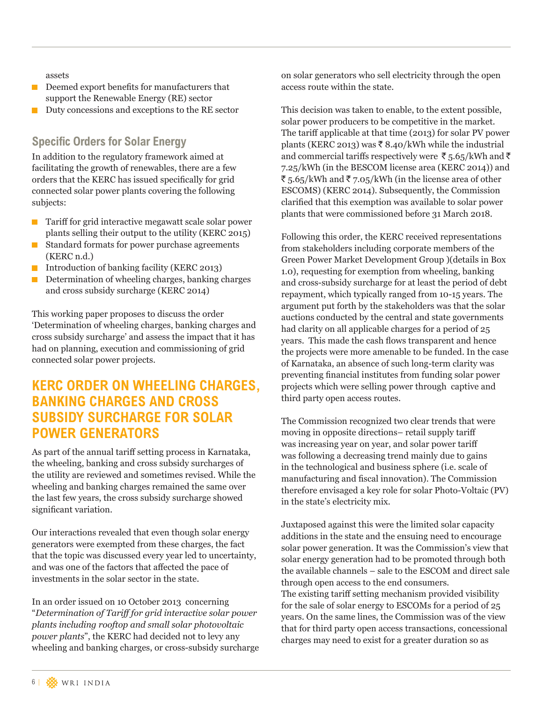#### assets

- Deemed export benefits for manufacturers that support the Renewable Energy (RE) sector
- Duty concessions and exceptions to the RE sector

### **Specific Orders for Solar Energy**

In addition to the regulatory framework aimed at facilitating the growth of renewables, there are a few orders that the KERC has issued specifically for grid connected solar power plants covering the following subjects:

- Tariff for grid interactive megawatt scale solar power plants selling their output to the utility (KERC 2015)
- Standard formats for power purchase agreements (KERC n.d.)
- Introduction of banking facility (KERC 2013)
- Determination of wheeling charges, banking charges and cross subsidy surcharge (KERC 2014)

This working paper proposes to discuss the order 'Determination of wheeling charges, banking charges and cross subsidy surcharge' and assess the impact that it has had on planning, execution and commissioning of grid connected solar power projects.

## **KERC ORDER ON WHEELING CHARGES, BANKING CHARGES AND CROSS SUBSIDY SURCHARGE FOR SOLAR POWER GENERATORS**

As part of the annual tariff setting process in Karnataka, the wheeling, banking and cross subsidy surcharges of the utility are reviewed and sometimes revised. While the wheeling and banking charges remained the same over the last few years, the cross subsidy surcharge showed significant variation.

Our interactions revealed that even though solar energy generators were exempted from these charges, the fact that the topic was discussed every year led to uncertainty, and was one of the factors that affected the pace of investments in the solar sector in the state.

In an order issued on 10 October 2013 concerning "*Determination of Tariff for grid interactive solar power plants including rooftop and small solar photovoltaic power plants*", the KERC had decided not to levy any wheeling and banking charges, or cross-subsidy surcharge on solar generators who sell electricity through the open access route within the state.

This decision was taken to enable, to the extent possible, solar power producers to be competitive in the market. The tariff applicable at that time (2013) for solar PV power plants (KERC 2013) was  $\bar{\tau}$  8.40/kWh while the industrial and commercial tariffs respectively were  $\bar{\tau}$  5.65/kWh and  $\bar{\tau}$ 7.25/kWh (in the BESCOM license area (KERC 2014)) and ₹ 5.65/kWh and ₹ 7.05/kWh (in the license area of other ESCOMS) (KERC 2014). Subsequently, the Commission clarified that this exemption was available to solar power plants that were commissioned before 31 March 2018.

Following this order, the KERC received representations from stakeholders including corporate members of the Green Power Market Development Group )(details in Box 1.0), requesting for exemption from wheeling, banking and cross-subsidy surcharge for at least the period of debt repayment, which typically ranged from 10-15 years. The argument put forth by the stakeholders was that the solar auctions conducted by the central and state governments had clarity on all applicable charges for a period of 25 years. This made the cash flows transparent and hence the projects were more amenable to be funded. In the case of Karnataka, an absence of such long-term clarity was preventing financial institutes from funding solar power projects which were selling power through captive and third party open access routes.

The Commission recognized two clear trends that were moving in opposite directions– retail supply tariff was increasing year on year, and solar power tariff was following a decreasing trend mainly due to gains in the technological and business sphere (i.e. scale of manufacturing and fiscal innovation). The Commission therefore envisaged a key role for solar Photo-Voltaic (PV) in the state's electricity mix.

Juxtaposed against this were the limited solar capacity additions in the state and the ensuing need to encourage solar power generation. It was the Commission's view that solar energy generation had to be promoted through both the available channels – sale to the ESCOM and direct sale through open access to the end consumers. The existing tariff setting mechanism provided visibility for the sale of solar energy to ESCOMs for a period of 25 years. On the same lines, the Commission was of the view that for third party open access transactions, concessional charges may need to exist for a greater duration so as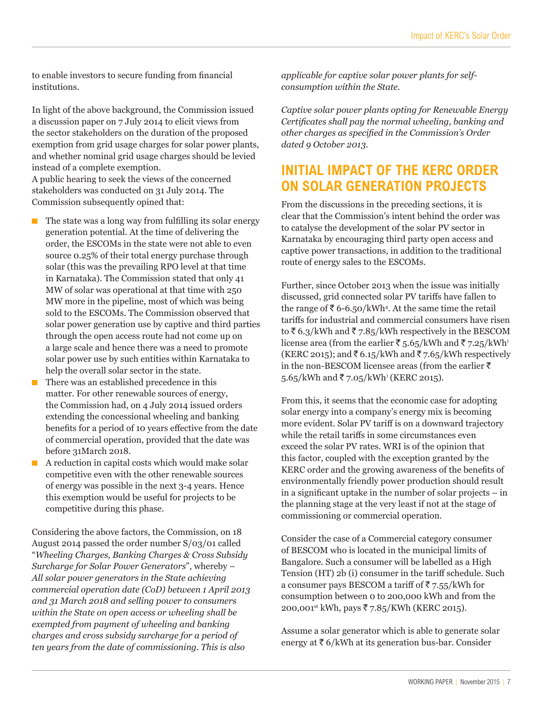to enable investors to secure funding from financial institutions.

In light of the above background, the Commission issued a discussion paper on 7 July 2014 to elicit views from the sector stakeholders on the duration of the proposed exemption from grid usage charges for solar power plants, and whether nominal grid usage charges should be levied instead of a complete exemption.

A public hearing to seek the views of the concerned stakeholders was conducted on 31 July 2014. The Commission subsequently opined that:

- $\blacksquare$  The state was a long way from fulfilling its solar energy generation potential. At the time of delivering the order, the ESCOMs in the state were not able to even source 0.25% of their total energy purchase through solar (this was the prevailing RPO level at that time in Karnataka). The Commission stated that only 41 MW of solar was operational at that time with 250 MW more in the pipeline, most of which was being sold to the ESCOMs. The Commission observed that solar power generation use by captive and third parties through the open access route had not come up on a large scale and hence there was a need to promote solar power use by such entities within Karnataka to help the overall solar sector in the state.
- There was an established precedence in this matter. For other renewable sources of energy, the Commission had, on 4 July 2014 issued orders extending the concessional wheeling and banking benefits for a period of 10 years effective from the date of commercial operation, provided that the date was before 31March 2018.
- $\blacksquare$  A reduction in capital costs which would make solar competitive even with the other renewable sources of energy was possible in the next 3-4 years. Hence this exemption would be useful for projects to be competitive during this phase.

Considering the above factors, the Commission, on 18 August 2014 passed the order number S/03/01 called "*Wheeling Charges, Banking Charges & Cross Subsidy Surcharge for Solar Power Generators*", whereby – *All solar power generators in the State achieving commercial operation date (CoD) between 1 April 2013 and 31 March 2018 and selling power to consumers within the State on open access or wheeling shall be exempted from payment of wheeling and banking charges and cross subsidy surcharge for a period of ten years from the date of commissioning. This is also* 

*applicable for captive solar power plants for selfconsumption within the State.*

*Captive solar power plants opting for Renewable Energy Certificates shall pay the normal wheeling, banking and other charges as specified in the Commission's Order dated 9 October 2013.*

# **INITIAL IMPACT OF THE KERC ORDER ON SOLAR GENERATION PROJECTS**

From the discussions in the preceding sections, it is clear that the Commission's intent behind the order was to catalyse the development of the solar PV sector in Karnataka by encouraging third party open access and captive power transactions, in addition to the traditional route of energy sales to the ESCOMs.

Further, since October 2013 when the issue was initially discussed, grid connected solar PV tariffs have fallen to the range of  $\bar{z}$  6-6.50/kWh<sup>4</sup>. At the same time the retail tariffs for industrial and commercial consumers have risen to  $\bar{\tau}$  6.3/kWh and  $\bar{\tau}$  7.85/kWh respectively in the BESCOM license area (from the earlier  $\overline{5}$  5.65/kWh and  $\overline{5}$  7.25/kWh) (KERC 2015); and  $\bar{\tau}$  6.15/kWh and  $\bar{\tau}$  7.65/kWh respectively in the non-BESCOM licensee areas (from the earlier  $\overline{\mathfrak{c}}$ 5.65/kWh and  $\bar{z}$  7.05/kWh<sup>)</sup> (KERC 2015).

From this, it seems that the economic case for adopting solar energy into a company's energy mix is becoming more evident. Solar PV tariff is on a downward trajectory while the retail tariffs in some circumstances even exceed the solar PV rates. WRI is of the opinion that this factor, coupled with the exception granted by the KERC order and the growing awareness of the benefits of environmentally friendly power production should result in a significant uptake in the number of solar projects – in the planning stage at the very least if not at the stage of commissioning or commercial operation.

Consider the case of a Commercial category consumer of BESCOM who is located in the municipal limits of Bangalore. Such a consumer will be labelled as a High Tension (HT) 2b (i) consumer in the tariff schedule. Such a consumer pays BESCOM a tariff of  $\overline{5}$  7.55/kWh for consumption between 0 to 200,000 kWh and from the 200,001<sup>st</sup> kWh, pays ₹7.85/KWh (KERC 2015).

Assume a solar generator which is able to generate solar energy at  $\bar{\tau}$  6/kWh at its generation bus-bar. Consider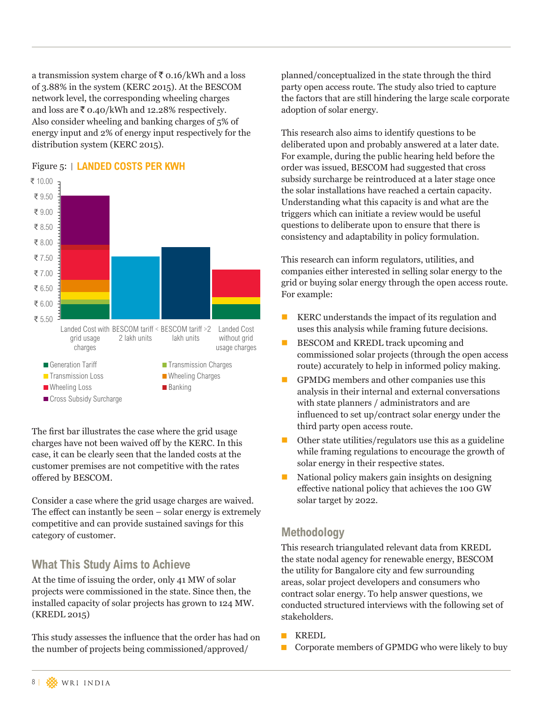a transmission system charge of  $\bar{\tau}$  0.16/kWh and a loss of 3.88% in the system (KERC 2015). At the BESCOM network level, the corresponding wheeling charges and loss are  $\bar{\tau}$  0.40/kWh and 12.28% respectively. Also consider wheeling and banking charges of 5% of energy input and 2% of energy input respectively for the distribution system (KERC 2015).



#### Figure 5: **LANDED COSTS PER KWH**

The first bar illustrates the case where the grid usage charges have not been waived off by the KERC. In this case, it can be clearly seen that the landed costs at the customer premises are not competitive with the rates offered by BESCOM.

Consider a case where the grid usage charges are waived. The effect can instantly be seen – solar energy is extremely competitive and can provide sustained savings for this category of customer.

### **What This Study Aims to Achieve**

At the time of issuing the order, only 41 MW of solar projects were commissioned in the state. Since then, the installed capacity of solar projects has grown to 124 MW. (KREDL 2015)

This study assesses the influence that the order has had on the number of projects being commissioned/approved/

planned/conceptualized in the state through the third party open access route. The study also tried to capture the factors that are still hindering the large scale corporate adoption of solar energy.

This research also aims to identify questions to be deliberated upon and probably answered at a later date. For example, during the public hearing held before the order was issued, BESCOM had suggested that cross subsidy surcharge be reintroduced at a later stage once the solar installations have reached a certain capacity. Understanding what this capacity is and what are the triggers which can initiate a review would be useful questions to deliberate upon to ensure that there is consistency and adaptability in policy formulation.

This research can inform regulators, utilities, and companies either interested in selling solar energy to the grid or buying solar energy through the open access route. For example:

- **KERC** understands the impact of its regulation and uses this analysis while framing future decisions.
- **BESCOM** and KREDL track upcoming and commissioned solar projects (through the open access route) accurately to help in informed policy making.
- **GPMDG** members and other companies use this analysis in their internal and external conversations with state planners / administrators and are influenced to set up/contract solar energy under the third party open access route.
- Other state utilities/regulators use this as a guideline while framing regulations to encourage the growth of solar energy in their respective states.
- National policy makers gain insights on designing effective national policy that achieves the 100 GW solar target by 2022.

### **Methodology**

This research triangulated relevant data from KREDL the state nodal agency for renewable energy, BESCOM the utility for Bangalore city and few surrounding areas, solar project developers and consumers who contract solar energy. To help answer questions, we conducted structured interviews with the following set of stakeholders.

- **KREDL**  $\mathcal{L}^{\text{max}}$
- Corporate members of GPMDG who were likely to buy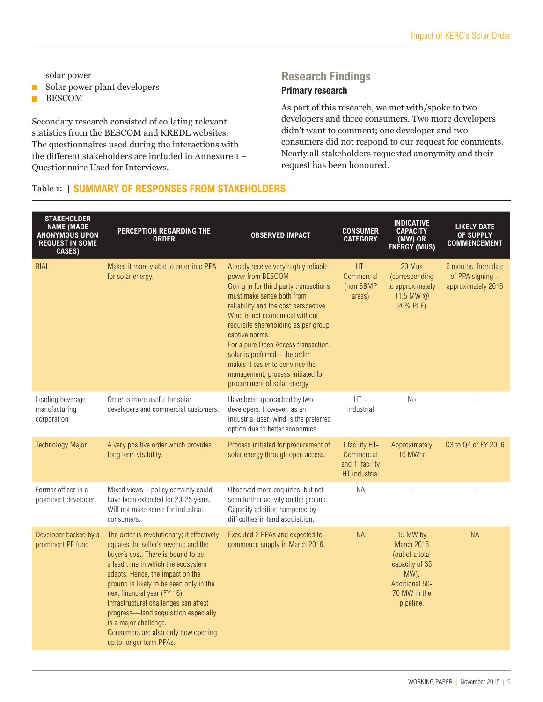solar power

- Solar power plant developers  $\Box$
- **BESCOM**

Secondary research consisted of collating relevant statistics from the BESCOM and KREDL websites. The questionnaires used during the interactions with the different stakeholders are included in Annexure 1 – Questionnaire Used for Interviews.

#### Table 1: **SUMMARY OF RESPONSES FROM STAKEHOLDERS**

### **Research Findings**

#### **Primary research**

As part of this research, we met with/spoke to two developers and three consumers. Two more developers didn't want to comment; one developer and two consumers did not respond to our request for comments. Nearly all stakeholders requested anonymity and their request has been honoured.

| <b>STAKEHOLDER</b><br><b>NAME (MADE</b><br>ANONYMOUS UPON<br><b>REQUEST IN SOME</b><br>CASES) | PERCEPTION REGARDING THE<br><b>ORDER</b>                                                                                                                                                                                                                                                                                                                                                                                                                  | <b>OBSERVED IMPACT</b>                                                                                                                                                                                                                                                                                                                                                                                                                             | <b>CONSUMER</b><br><b>CATEGORY</b>                                     | <b>INDICATIVE</b><br><b>CAPACITY</b><br>(MW) OR<br>ENERGY (MUS)                                                           | <b>LIKELY DATE</b><br>OF SUPPLY<br><b>COMMENCEMENT</b>       |
|-----------------------------------------------------------------------------------------------|-----------------------------------------------------------------------------------------------------------------------------------------------------------------------------------------------------------------------------------------------------------------------------------------------------------------------------------------------------------------------------------------------------------------------------------------------------------|----------------------------------------------------------------------------------------------------------------------------------------------------------------------------------------------------------------------------------------------------------------------------------------------------------------------------------------------------------------------------------------------------------------------------------------------------|------------------------------------------------------------------------|---------------------------------------------------------------------------------------------------------------------------|--------------------------------------------------------------|
| <b>BIAL</b>                                                                                   | Makes it more viable to enter into PPA<br>for solar energy.                                                                                                                                                                                                                                                                                                                                                                                               | Already receive very highly reliable<br>power from BESCOM<br>Going in for third party transactions<br>must make sense both from<br>reliability and the cost perspective<br>Wind is not economical without<br>requisite shareholding as per group<br>captive norms.<br>For a pure Open Access transaction,<br>solar is preferred - the order<br>makes it easier to convince the<br>management; process initiated for<br>procurement of solar energy | $HT -$<br>Commercial<br>(non BBMP<br>areas)                            | 20 Mus<br>(corresponding<br>to approximately<br>11.5 MW @<br>20% PLF)                                                     | 6 months from date<br>of PPA signing -<br>approximately 2016 |
| Leading beverage<br>manufacturing<br>corporation                                              | Order is more useful for solar<br>developers and commercial customers.                                                                                                                                                                                                                                                                                                                                                                                    | Have been approached by two<br>developers. However, as an<br>industrial user, wind is the preferred<br>option due to better economics.                                                                                                                                                                                                                                                                                                             | $HT -$<br>industrial                                                   | No                                                                                                                        |                                                              |
| <b>Technology Major</b>                                                                       | A very positive order which provides<br>long term visibility.                                                                                                                                                                                                                                                                                                                                                                                             | Process initiated for procurement of<br>solar energy through open access.                                                                                                                                                                                                                                                                                                                                                                          | 1 facility HT-<br>Commercial<br>and 1 facility<br><b>HT</b> industrial | Approximately<br>10 MWhr                                                                                                  | Q3 to Q4 of FY 2016                                          |
| Former officer in a<br>prominent developer                                                    | Mixed views - policy certainly could<br>have been extended for 20-25 years.<br>Will not make sense for industrial<br>consumers.                                                                                                                                                                                                                                                                                                                           | Observed more enquiries; but not<br>seen further activity on the ground.<br>Capacity addition hampered by<br>difficulties in land acquisition.                                                                                                                                                                                                                                                                                                     | <b>NA</b>                                                              |                                                                                                                           |                                                              |
| Developer backed by a<br>prominent PE fund                                                    | The order is revolutionary; it effectively<br>equates the seller's revenue and the<br>buyer's cost. There is bound to be<br>a lead time in which the ecosystem<br>adapts. Hence, the impact on the<br>ground is likely to be seen only in the<br>next financial year (FY 16).<br>Infrastructural challenges can affect<br>progress-land acquisition especially<br>is a major challenge.<br>Consumers are also only now opening<br>up to longer term PPAs. | Executed 2 PPAs and expected to<br>commence supply in March 2016.                                                                                                                                                                                                                                                                                                                                                                                  | <b>NA</b>                                                              | 15 MW by<br>March 2016<br>(out of a total<br>capacity of 35<br>MW).<br><b>Additional 50-</b><br>70 MW in the<br>pipeline. | <b>NA</b>                                                    |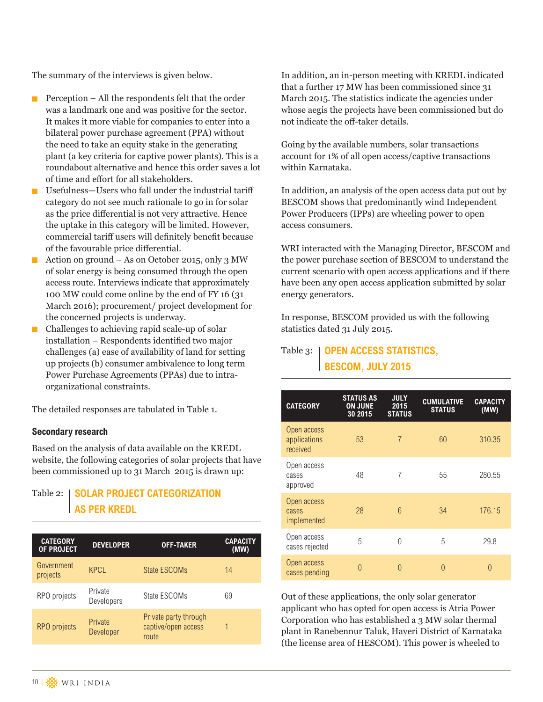The summary of the interviews is given below.

- **Perception All the respondents felt that the order** was a landmark one and was positive for the sector. It makes it more viable for companies to enter into a bilateral power purchase agreement (PPA) without the need to take an equity stake in the generating plant (a key criteria for captive power plants). This is a roundabout alternative and hence this order saves a lot of time and effort for all stakeholders.
- Usefulness—Users who fall under the industrial tariff category do not see much rationale to go in for solar as the price differential is not very attractive. Hence the uptake in this category will be limited. However, commercial tariff users will definitely benefit because of the favourable price differential.
- Action on ground As on October 2015, only 3 MW of solar energy is being consumed through the open access route. Interviews indicate that approximately 100 MW could come online by the end of FY 16 (31 March 2016); procurement/ project development for the concerned projects is underway.
- Challenges to achieving rapid scale-up of solar  $\blacksquare$ installation – Respondents identified two major challenges (a) ease of availability of land for setting up projects (b) consumer ambivalence to long term Power Purchase Agreements (PPAs) due to intraorganizational constraints.

The detailed responses are tabulated in Table 1.

#### **Secondary research**

Based on the analysis of data available on the KREDL website, the following categories of solar projects that have been commissioned up to 31 March 2015 is drawn up:

### Table 2: **SOLAR PROJECT CATEGORIZATION AS PER KREDL**

| <b>CATEGORY</b><br>OF PROJECT | <b>DEVELOPER</b>      | <b>OFF-TAKER</b>                                      | <b>CAPACITY</b><br>(MW) |
|-------------------------------|-----------------------|-------------------------------------------------------|-------------------------|
| Government<br>projects        | KPCL                  | State ESCOMs                                          | 14                      |
| RPO projects                  | Private<br>Developers | State ESCOMs                                          | 69                      |
| RPO projects                  | Private<br>Developer  | Private party through<br>captive/open access<br>route | 1                       |

In addition, an in-person meeting with KREDL indicated that a further 17 MW has been commissioned since 31 March 2015. The statistics indicate the agencies under whose aegis the projects have been commissioned but do not indicate the off-taker details.

Going by the available numbers, solar transactions account for 1% of all open access/captive transactions within Karnataka.

In addition, an analysis of the open access data put out by BESCOM shows that predominantly wind Independent Power Producers (IPPs) are wheeling power to open access consumers.

WRI interacted with the Managing Director, BESCOM and the power purchase section of BESCOM to understand the current scenario with open access applications and if there have been any open access application submitted by solar energy generators.

In response, BESCOM provided us with the following statistics dated 31 July 2015.

### Table 3: **| OPEN ACCESS STATISTICS, BESCOM, JULY 2015**

| <b>CATEGORY</b>                         | <b>STATUS AS</b><br><b>ON JUNE</b><br>30 2015 | <b>JULY</b><br>2015<br><b>STATUS</b> | <b>CUMULATIVE</b><br><b>STATUS</b> | <b>CAPACITY</b><br>(MW) |
|-----------------------------------------|-----------------------------------------------|--------------------------------------|------------------------------------|-------------------------|
| Open access<br>applications<br>received | 53                                            | 7                                    | 60                                 | 310.35                  |
| Open access<br>cases<br>approved        | 48                                            | 7                                    | 55                                 | 280.55                  |
| Open access<br>cases<br>implemented     | 28                                            | 6                                    | 34                                 | 176.15                  |
| Open access<br>cases rejected           | 5                                             | 0                                    | 5                                  | 29.8                    |
| Open access<br>cases pending            | N                                             | O                                    | 0                                  | $\Omega$                |

Out of these applications, the only solar generator applicant who has opted for open access is Atria Power Corporation who has established a 3 MW solar thermal plant in Ranebennur Taluk, Haveri District of Karnataka (the license area of HESCOM). This power is wheeled to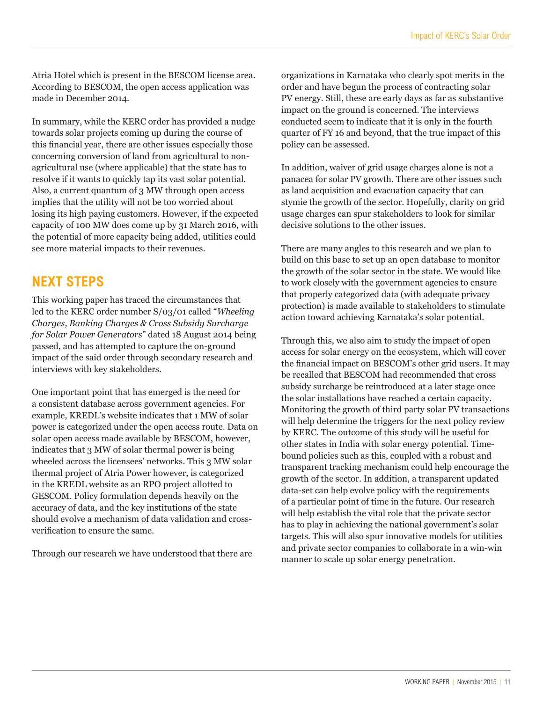Atria Hotel which is present in the BESCOM license area. According to BESCOM, the open access application was made in December 2014.

In summary, while the KERC order has provided a nudge towards solar projects coming up during the course of this financial year, there are other issues especially those concerning conversion of land from agricultural to nonagricultural use (where applicable) that the state has to resolve if it wants to quickly tap its vast solar potential. Also, a current quantum of 3 MW through open access implies that the utility will not be too worried about losing its high paying customers. However, if the expected capacity of 100 MW does come up by 31 March 2016, with the potential of more capacity being added, utilities could see more material impacts to their revenues.

## **NEXT STEPS**

This working paper has traced the circumstances that led to the KERC order number S/03/01 called "*Wheeling Charges, Banking Charges & Cross Subsidy Surcharge for Solar Power Generators*" dated 18 August 2014 being passed, and has attempted to capture the on-ground impact of the said order through secondary research and interviews with key stakeholders.

One important point that has emerged is the need for a consistent database across government agencies. For example, KREDL's website indicates that 1 MW of solar power is categorized under the open access route. Data on solar open access made available by BESCOM, however, indicates that 3 MW of solar thermal power is being wheeled across the licensees' networks. This 3 MW solar thermal project of Atria Power however, is categorized in the KREDL website as an RPO project allotted to GESCOM. Policy formulation depends heavily on the accuracy of data, and the key institutions of the state should evolve a mechanism of data validation and crossverification to ensure the same.

Through our research we have understood that there are

organizations in Karnataka who clearly spot merits in the order and have begun the process of contracting solar PV energy. Still, these are early days as far as substantive impact on the ground is concerned. The interviews conducted seem to indicate that it is only in the fourth quarter of FY 16 and beyond, that the true impact of this policy can be assessed.

In addition, waiver of grid usage charges alone is not a panacea for solar PV growth. There are other issues such as land acquisition and evacuation capacity that can stymie the growth of the sector. Hopefully, clarity on grid usage charges can spur stakeholders to look for similar decisive solutions to the other issues.

There are many angles to this research and we plan to build on this base to set up an open database to monitor the growth of the solar sector in the state. We would like to work closely with the government agencies to ensure that properly categorized data (with adequate privacy protection) is made available to stakeholders to stimulate action toward achieving Karnataka's solar potential.

Through this, we also aim to study the impact of open access for solar energy on the ecosystem, which will cover the financial impact on BESCOM's other grid users. It may be recalled that BESCOM had recommended that cross subsidy surcharge be reintroduced at a later stage once the solar installations have reached a certain capacity. Monitoring the growth of third party solar PV transactions will help determine the triggers for the next policy review by KERC. The outcome of this study will be useful for other states in India with solar energy potential. Timebound policies such as this, coupled with a robust and transparent tracking mechanism could help encourage the growth of the sector. In addition, a transparent updated data-set can help evolve policy with the requirements of a particular point of time in the future. Our research will help establish the vital role that the private sector has to play in achieving the national government's solar targets. This will also spur innovative models for utilities and private sector companies to collaborate in a win-win manner to scale up solar energy penetration.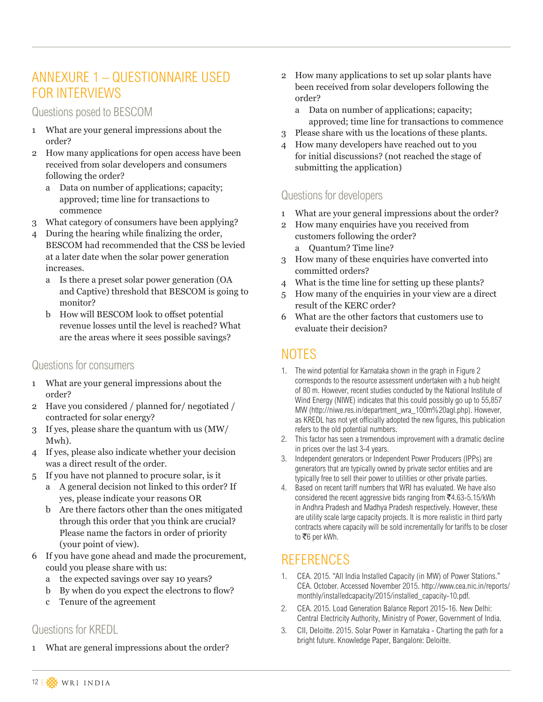# ANNEXURE 1 – QUESTIONNAIRE USED FOR INTERVIEWS

Questions posed to BESCOM

- 1 What are your general impressions about the order?
- 2 How many applications for open access have been received from solar developers and consumers following the order?
	- a Data on number of applications; capacity; approved; time line for transactions to commence
- 3 What category of consumers have been applying?
- 4 During the hearing while finalizing the order, BESCOM had recommended that the CSS be levied at a later date when the solar power generation increases.
	- a Is there a preset solar power generation (OA and Captive) threshold that BESCOM is going to monitor?
	- b How will BESCOM look to offset potential revenue losses until the level is reached? What are the areas where it sees possible savings?

#### Questions for consumers

- 1 What are your general impressions about the order?
- 2 Have you considered / planned for/ negotiated / contracted for solar energy?
- 3 If yes, please share the quantum with us (MW/ Mwh).
- 4 If yes, please also indicate whether your decision was a direct result of the order.
- 5 If you have not planned to procure solar, is it
	- a A general decision not linked to this order? If yes, please indicate your reasons OR
	- b Are there factors other than the ones mitigated through this order that you think are crucial? Please name the factors in order of priority (your point of view).
- 6 If you have gone ahead and made the procurement, could you please share with us:
	- a the expected savings over say 10 years?
	- b By when do you expect the electrons to flow?
	- c Tenure of the agreement

### Questions for KREDL

1 What are general impressions about the order?

- 2 How many applications to set up solar plants have been received from solar developers following the order?
	- a Data on number of applications; capacity; approved; time line for transactions to commence
- 3 Please share with us the locations of these plants.
- 4 How many developers have reached out to you for initial discussions? (not reached the stage of submitting the application)

### Questions for developers

- 1 What are your general impressions about the order?
- 2 How many enquiries have you received from customers following the order? a Quantum? Time line?
- 3 How many of these enquiries have converted into committed orders?
- 4 What is the time line for setting up these plants?
- 5 How many of the enquiries in your view are a direct result of the KERC order?
- 6 What are the other factors that customers use to evaluate their decision?

# NOTES

- 1. The wind potential for Karnataka shown in the graph in Figure 2 corresponds to the resource assessment undertaken with a hub height of 80 m. However, recent studies conducted by the National Institute of Wind Energy (NIWE) indicates that this could possibly go up to 55,857 MW (http://niwe.res.in/department\_wra\_100m%20agl.php). However, as KREDL has not yet officially adopted the new figures, this publication refers to the old potential numbers.
- 2. This factor has seen a tremendous improvement with a dramatic decline in prices over the last 3-4 years.
- 3. Independent generators or Independent Power Producers (IPPs) are generators that are typically owned by private sector entities and are typically free to sell their power to utilities or other private parties.
- 4. Based on recent tariff numbers that WRI has evaluated. We have also considered the recent aggressive bids ranging from  $\overline{\mathfrak{e}}$ 4.63-5.15/kWh in Andhra Pradesh and Madhya Pradesh respectively. However, these are utility scale large capacity projects. It is more realistic in third party contracts where capacity will be sold incrementally for tariffs to be closer to  $\overline{\xi}6$  per kWh.

# REFERENCES

- 1. CEA. 2015. "All India Installed Capacity (in MW) of Power Stations." CEA. October. Accessed November 2015. http://www.cea.nic.in/reports/ monthly/installedcapacity/2015/installed\_capacity-10.pdf.
- 2. CEA. 2015. Load Generation Balance Report 2015-16. New Delhi: Central Electricity Authority, Ministry of Power, Government of India.
- 3. CII, Deloitte. 2015. Solar Power in Karnataka Charting the path for a bright future. Knowledge Paper, Bangalore: Deloitte.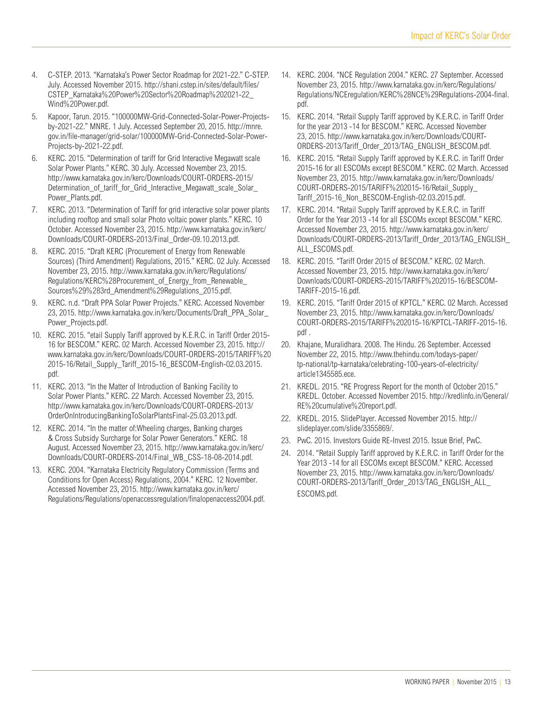- 4. C-STEP. 2013. "Karnataka's Power Sector Roadmap for 2021-22." C-STEP. July. Accessed November 2015. http://shani.cstep.in/sites/default/files/ CSTEP\_Karnataka%20Power%20Sector%20Roadmap%202021-22\_ Wind%20Power.pdf.
- 5. Kapoor, Tarun. 2015. "100000MW-Grid-Connected-Solar-Power-Projectsby-2021-22." MNRE. 1 July. Accessed September 20, 2015. http://mnre. gov.in/file-manager/grid-solar/100000MW-Grid-Connected-Solar-Power-Projects-by-2021-22.pdf.
- 6. KERC. 2015. "Determination of tariff for Grid Interactive Megawatt scale Solar Power Plants." KERC. 30 July. Accessed November 23, 2015. http://www.karnataka.gov.in/kerc/Downloads/COURT-ORDERS-2015/ Determination\_of\_tariff\_for\_Grid\_Interactive\_Megawatt\_scale\_Solar\_ Power\_Plants.pdf.
- 7. KERC. 2013. "Determination of Tariff for grid interactive solar power plants including rooftop and small solar Photo voltaic power plants." KERC. 10 October. Accessed November 23, 2015. http://www.karnataka.gov.in/kerc/ Downloads/COURT-ORDERS-2013/Final\_Order-09.10.2013.pdf.
- 8. KERC. 2015. "Draft KERC (Procurement of Energy from Renewable Sources) (Third Amendment) Regulations, 2015." KERC. 02 July. Accessed November 23, 2015. http://www.karnataka.gov.in/kerc/Regulations/ Regulations/KERC%28Procurement\_of\_Energy\_from\_Renewable\_ Sources%29%283rd\_Amendment%29Regulations\_2015.pdf.
- 9. KERC. n.d. "Draft PPA Solar Power Projects." KERC. Accessed November 23, 2015. http://www.karnataka.gov.in/kerc/Documents/Draft\_PPA\_Solar\_ Power\_Projects.pdf.
- 10. KERC. 2015. "etail Supply Tariff approved by K.E.R.C. in Tariff Order 2015- 16 for BESCOM." KERC. 02 March. Accessed November 23, 2015. http:// www.karnataka.gov.in/kerc/Downloads/COURT-ORDERS-2015/TARIFF%20 2015-16/Retail\_Supply\_Tariff\_2015-16\_BESCOM-English-02.03.2015. pdf.
- 11. KERC. 2013. "In the Matter of Introduction of Banking Facility to Solar Power Plants." KERC. 22 March. Accessed November 23, 2015. http://www.karnataka.gov.in/kerc/Downloads/COURT-ORDERS-2013/ OrderOnIntroducingBankingToSolarPlantsFinal-25.03.2013.pdf.
- 12. KERC. 2014. "In the matter of:Wheeling charges, Banking charges & Cross Subsidy Surcharge for Solar Power Generators." KERC. 18 August. Accessed November 23, 2015. http://www.karnataka.gov.in/kerc/ Downloads/COURT-ORDERS-2014/Final\_WB\_CSS-18-08-2014.pdf.
- 13. KERC. 2004. "Karnataka Electricity Regulatory Commission (Terms and Conditions for Open Access) Regulations, 2004." KERC. 12 November. Accessed November 23, 2015. http://www.karnataka.gov.in/kerc/ Regulations/Regulations/openaccessregulation/finalopenaccess2004.pdf.
- 14. KERC. 2004. "NCE Regulation 2004." KERC. 27 September. Accessed November 23, 2015. http://www.karnataka.gov.in/kerc/Regulations/ Regulations/NCEregulation/KERC%28NCE%29Regulations-2004-final. pdf.
- 15. KERC. 2014. "Retail Supply Tariff approved by K.E.R.C. in Tariff Order for the year 2013 -14 for BESCOM." KERC. Accessed November 23, 2015. http://www.karnataka.gov.in/kerc/Downloads/COURT-ORDERS-2013/Tariff\_Order\_2013/TAG\_ENGLISH\_BESCOM.pdf.
- 16. KERC. 2015. "Retail Supply Tariff approved by K.E.R.C. in Tariff Order 2015-16 for all ESCOMs except BESCOM." KERC. 02 March. Accessed November 23, 2015. http://www.karnataka.gov.in/kerc/Downloads/ COURT-ORDERS-2015/TARIFF%202015-16/Retail\_Supply\_ Tariff\_2015-16\_Non\_BESCOM-English-02.03.2015.pdf.
- 17. KERC. 2014. "Retail Supply Tariff approved by K.E.R.C. in Tariff Order for the Year 2013 -14 for all ESCOMs except BESCOM." KERC. Accessed November 23, 2015. http://www.karnataka.gov.in/kerc/ Downloads/COURT-ORDERS-2013/Tariff\_Order\_2013/TAG\_ENGLISH\_ ALL\_ESCOMS.pdf.
- 18. KERC. 2015. "Tariff Order 2015 of BESCOM." KERC. 02 March. Accessed November 23, 2015. http://www.karnataka.gov.in/kerc/ Downloads/COURT-ORDERS-2015/TARIFF%202015-16/BESCOM-TARIFF-2015-16.pdf.
- 19. KERC. 2015. "Tariff Order 2015 of KPTCL." KERC. 02 March. Accessed November 23, 2015. http://www.karnataka.gov.in/kerc/Downloads/ COURT-ORDERS-2015/TARIFF%202015-16/KPTCL-TARIFF-2015-16. pdf .
- 20. Khajane, Muralidhara. 2008. The Hindu. 26 September. Accessed November 22, 2015. http://www.thehindu.com/todays-paper/ tp-national/tp-karnataka/celebrating-100-years-of-electricity/ article1345585.ece.
- 21. KREDL. 2015. "RE Progress Report for the month of October 2015." KREDL. October. Accessed November 2015. http://kredlinfo.in/General/ RE%20cumulative%20report.pdf.
- 22. KREDL. 2015. SlidePlayer. Accessed November 2015. http:// slideplayer.com/slide/3355869/.
- 23. PwC. 2015. Investors Guide RE-Invest 2015. Issue Brief, PwC.
- 24. 2014. "Retail Supply Tariff approved by K.E.R.C. in Tariff Order for the Year 2013 -14 for all ESCOMs except BESCOM." KERC. Accessed November 23, 2015. http://www.karnataka.gov.in/kerc/Downloads/ COURT-ORDERS-2013/Tariff\_Order\_2013/TAG\_ENGLISH\_ALL\_ ESCOMS.pdf.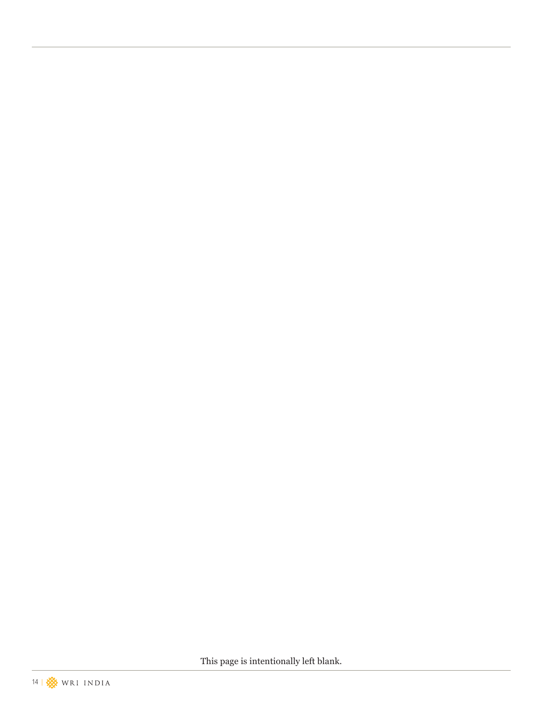This page is intentionally left blank.